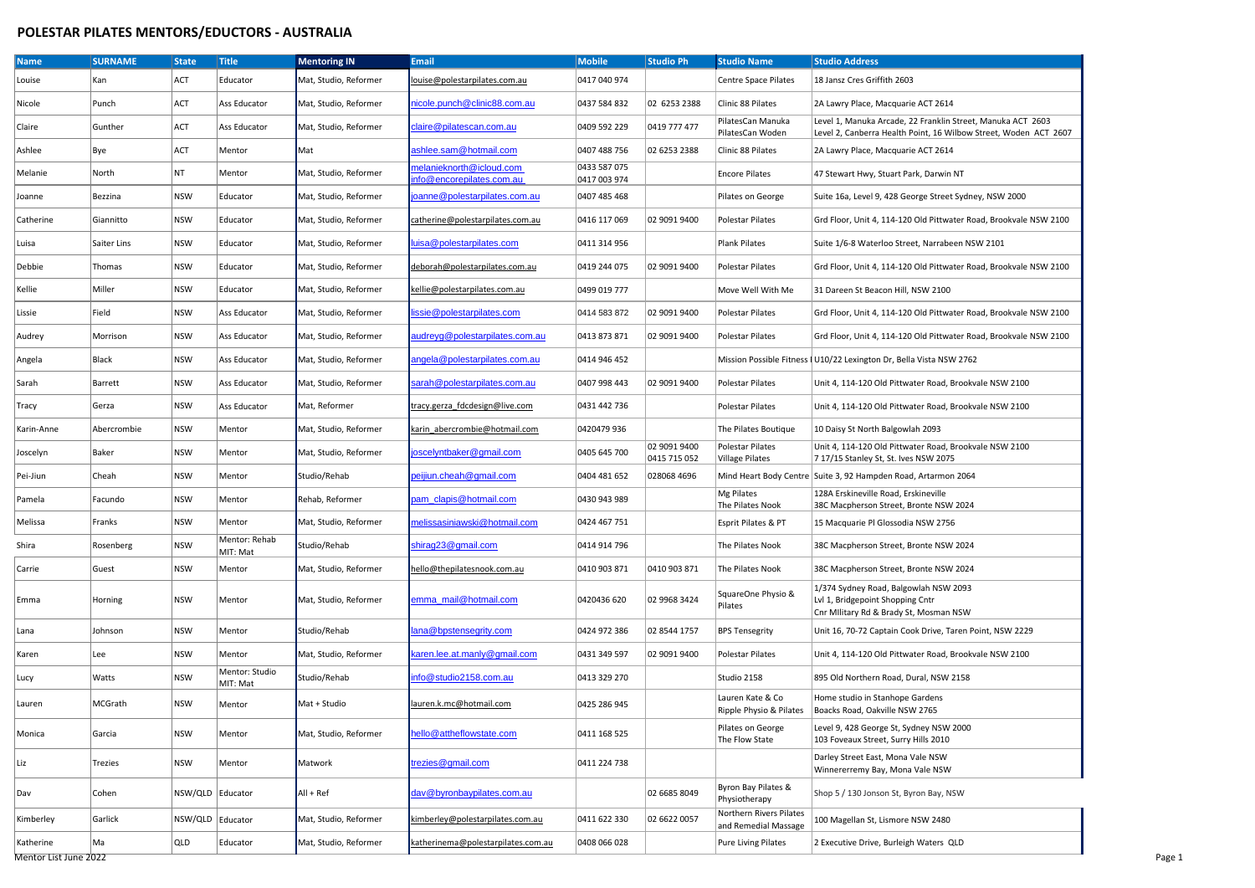## **POLESTAR PILATES MENTORS/EDUCTORS - AUSTRALIA**

| <b>Name</b> | <b>SURNAME</b> | <b>State</b> | <b>Title</b>               | <b>Mentoring IN</b>   | <b>Email</b>                                         | <b>Mobile</b>                | <b>Studio Ph</b>             | <b>Studio Name</b>                              | <b>Studio Address</b>                                                                                                           |
|-------------|----------------|--------------|----------------------------|-----------------------|------------------------------------------------------|------------------------------|------------------------------|-------------------------------------------------|---------------------------------------------------------------------------------------------------------------------------------|
| Louise      | Kan            | ACT          | Educator                   | Mat, Studio, Reformer | louise@polestarpilates.com.au                        | 0417 040 974                 |                              | Centre Space Pilates                            | 18 Jansz Cres Griffith 2603                                                                                                     |
| Nicole      | Punch          | ACT          | Ass Educator               | Mat, Studio, Reformer | nicole.punch@clinic88.com.au                         | 0437 584 832                 | 02 6253 2388                 | Clinic 88 Pilates                               | 2A Lawry Place, Macquarie ACT 2614                                                                                              |
| Claire      | Gunther        | ACT          | Ass Educator               | Mat, Studio, Reformer | claire@pilatescan.com.au                             | 0409 592 229                 | 0419 777 477                 | PilatesCan Manuka<br>PilatesCan Woden           | Level 1, Manuka Arcade, 22 Franklin Street, Manuka ACT 2603<br>Level 2, Canberra Health Point, 16 Wilbow Street, Woden ACT 2607 |
| Ashlee      | Bye            | ACT          | Mentor                     | Mat                   | ashlee.sam@hotmail.com                               | 0407 488 756                 | 02 6253 2388                 | Clinic 88 Pilates                               | 2A Lawry Place, Macquarie ACT 2614                                                                                              |
| Melanie     | North          | NT           | Mentor                     | Mat, Studio, Reformer | melanieknorth@icloud.com<br>nfo@encorepilates.com.au | 0433 587 075<br>0417 003 974 |                              | <b>Encore Pilates</b>                           | 47 Stewart Hwy, Stuart Park, Darwin NT                                                                                          |
| Joanne      | Bezzina        | <b>NSW</b>   | Educator                   | Mat, Studio, Reformer | oanne@polestarpilates.com.au                         | 0407 485 468                 |                              | Pilates on George                               | Suite 16a, Level 9, 428 George Street Sydney, NSW 2000                                                                          |
| Catherine   | Giannitto      | <b>NSW</b>   | Educator                   | Mat, Studio, Reformer | catherine@polestarpilates.com.au                     | 0416 117 069                 | 02 9091 9400                 | Polestar Pilates                                | Grd Floor, Unit 4, 114-120 Old Pittwater Road, Brookvale NSW 2100                                                               |
| Luisa       | Saiter Lins    | <b>NSW</b>   | Educator                   | Mat, Studio, Reformer | uisa@polestarpilates.com                             | 0411 314 956                 |                              | Plank Pilates                                   | Suite 1/6-8 Waterloo Street, Narrabeen NSW 2101                                                                                 |
| Debbie      | Thomas         | <b>NSW</b>   | Educator                   | Mat, Studio, Reformer | deborah@polestarpilates.com.au                       | 0419 244 075                 | 02 9091 9400                 | Polestar Pilates                                | Grd Floor, Unit 4, 114-120 Old Pittwater Road, Brookvale NSW 2100                                                               |
| Kellie      | Miller         | <b>NSW</b>   | Educator                   | Mat, Studio, Reformer | kellie@polestarpilates.com.au                        | 0499 019 777                 |                              | Move Well With Me                               | 31 Dareen St Beacon Hill, NSW 2100                                                                                              |
| Lissie      | Field          | <b>NSW</b>   | Ass Educator               | Mat, Studio, Reformer | issie@polestarpilates.com                            | 0414 583 872                 | 02 9091 9400                 | Polestar Pilates                                | Grd Floor, Unit 4, 114-120 Old Pittwater Road, Brookvale NSW 2100                                                               |
| Audrey      | Morrison       | <b>NSW</b>   | Ass Educator               | Mat, Studio, Reformer | audreyg@polestarpilates.com.au                       | 0413 873 871                 | 02 9091 9400                 | Polestar Pilates                                | Grd Floor, Unit 4, 114-120 Old Pittwater Road, Brookvale NSW 2100                                                               |
| Angela      | Black          | <b>NSW</b>   | Ass Educator               | Mat, Studio, Reformer | angela@polestarpilates.com.au                        | 0414 946 452                 |                              |                                                 | Mission Possible Fitness   U10/22 Lexington Dr, Bella Vista NSW 2762                                                            |
| Sarah       | Barrett        | <b>NSW</b>   | Ass Educator               | Mat, Studio, Reformer | sarah@polestarpilates.com.au                         | 0407 998 443                 | 02 9091 9400                 | Polestar Pilates                                | Unit 4, 114-120 Old Pittwater Road, Brookvale NSW 2100                                                                          |
| Tracy       | Gerza          | <b>NSW</b>   | Ass Educator               | Mat, Reformer         | tracy.gerza fdcdesign@live.com                       | 0431 442 736                 |                              | Polestar Pilates                                | Unit 4, 114-120 Old Pittwater Road, Brookvale NSW 2100                                                                          |
| Karin-Anne  | Abercrombie    | <b>NSW</b>   | Mentor                     | Mat, Studio, Reformer | karin abercrombie@hotmail.com                        | 0420479 936                  |                              | The Pilates Boutique                            | 10 Daisy St North Balgowlah 2093                                                                                                |
| Joscelyn    | Baker          | <b>NSW</b>   | Mentor                     | Mat, Studio, Reformer | joscelyntbaker@gmail.com                             | 0405 645 700                 | 02 9091 9400<br>0415 715 052 | Polestar Pilates<br>Village Pilates             | Unit 4, 114-120 Old Pittwater Road, Brookvale NSW 2100<br>7 17/15 Stanley St, St. Ives NSW 2075                                 |
| Pei-Jiun    | Cheah          | <b>NSW</b>   | Mentor                     | Studio/Rehab          | peijiun.cheah@qmail.com                              | 0404 481 652                 | 028068 4696                  |                                                 | Mind Heart Body Centre Suite 3, 92 Hampden Road, Artarmon 2064                                                                  |
| Pamela      | Facundo        | <b>NSW</b>   | Mentor                     | Rehab, Reformer       | pam_clapis@hotmail.com                               | 0430 943 989                 |                              | Mg Pilates<br>The Pilates Nook                  | 128A Erskineville Road, Erskineville<br>38C Macpherson Street, Bronte NSW 2024                                                  |
| Melissa     | Franks         | <b>NSW</b>   | Mentor                     | Mat, Studio, Reformer | melissasiniawski@hotmail.com                         | 0424 467 751                 |                              | Esprit Pilates & PT                             | 15 Macquarie Pl Glossodia NSW 2756                                                                                              |
| Shira       | Rosenberg      | <b>NSW</b>   | Mentor: Rehab<br>MIT: Mat  | Studio/Rehab          | shirag23@gmail.com                                   | 0414 914 796                 |                              | The Pilates Nook                                | 38C Macpherson Street, Bronte NSW 2024                                                                                          |
| Carrie      | Guest          | <b>NSW</b>   | Mentor                     | Mat, Studio, Reformer | hello@thepilatesnook.com.au                          | 0410 903 871                 | 0410 903 871                 | The Pilates Nook                                | 38C Macpherson Street, Bronte NSW 2024                                                                                          |
| Emma        | Horning        | <b>NSW</b>   | Mentor                     | Mat, Studio, Reformer | emma_mail@hotmail.com                                | 0420436 620                  | 02 9968 3424                 | SquareOne Physio &<br>Pilates                   | 1/374 Sydney Road, Balgowlah NSW 2093<br>Lvl 1, Bridgepoint Shopping Cntr<br>Cnr Military Rd & Brady St, Mosman NSW             |
| Lana        | Johnson        | <b>NSW</b>   | Mentor                     | Studio/Rehab          | lana@bpstensegrity.com                               | 0424 972 386                 | 02 8544 1757                 | <b>BPS Tensegrity</b>                           | Unit 16, 70-72 Captain Cook Drive, Taren Point, NSW 2229                                                                        |
| Karen       | Lee            | <b>NSW</b>   | Mentor                     | Mat, Studio, Reformer | karen.lee.at.manly@gmail.com                         | 0431 349 597                 | 02 9091 9400                 | <b>Polestar Pilates</b>                         | Unit 4, 114-120 Old Pittwater Road, Brookvale NSW 2100                                                                          |
| Lucy        | Watts          | <b>NSW</b>   | Mentor: Studio<br>MIT: Mat | Studio/Rehab          | info@studio2158.com.au                               | 0413 329 270                 |                              | Studio 2158                                     | 895 Old Northern Road, Dural, NSW 2158                                                                                          |
| Lauren      | MCGrath        | <b>NSW</b>   | Mentor                     | Mat + Studio          | lauren.k.mc@hotmail.com                              | 0425 286 945                 |                              | Lauren Kate & Co                                | Home studio in Stanhope Gardens<br>Ripple Physio & Pilates   Boacks Road, Oakville NSW 2765                                     |
| Monica      | Garcia         | <b>NSW</b>   | Mentor                     | Mat, Studio, Reformer | ello@attheflowstate.com                              | 0411 168 525                 |                              | Pilates on George<br>The Flow State             | Level 9, 428 George St, Sydney NSW 2000<br>103 Foveaux Street, Surry Hills 2010                                                 |
| Liz         | Trezies        | <b>NSW</b>   | Mentor                     | Matwork               | trezies@gmail.com                                    | 0411 224 738                 |                              |                                                 | Darley Street East, Mona Vale NSW<br>Winnererremy Bay, Mona Vale NSW                                                            |
| Dav         | Cohen          | NSW/QLD      | Educator                   | $All + Ref$           | dav@byronbaypilates.com.au                           |                              | 02 6685 8049                 | Byron Bay Pilates &<br>Physiotherapy            | Shop 5 / 130 Jonson St, Byron Bay, NSW                                                                                          |
| Kimberley   | Garlick        | NSW/QLD      | Educator                   | Mat, Studio, Reformer | kimberley@polestarpilates.com.au                     | 0411 622 330                 | 02 6622 0057                 | Northern Rivers Pilates<br>and Remedial Massage | 100 Magellan St, Lismore NSW 2480                                                                                               |
| Katherine   | Ma             | QLD          | Educator                   | Mat, Studio, Reformer | katherinema@polestarpilates.com.au                   | 0408 066 028                 |                              | <b>Pure Living Pilates</b>                      | 2 Executive Drive, Burleigh Waters QLD                                                                                          |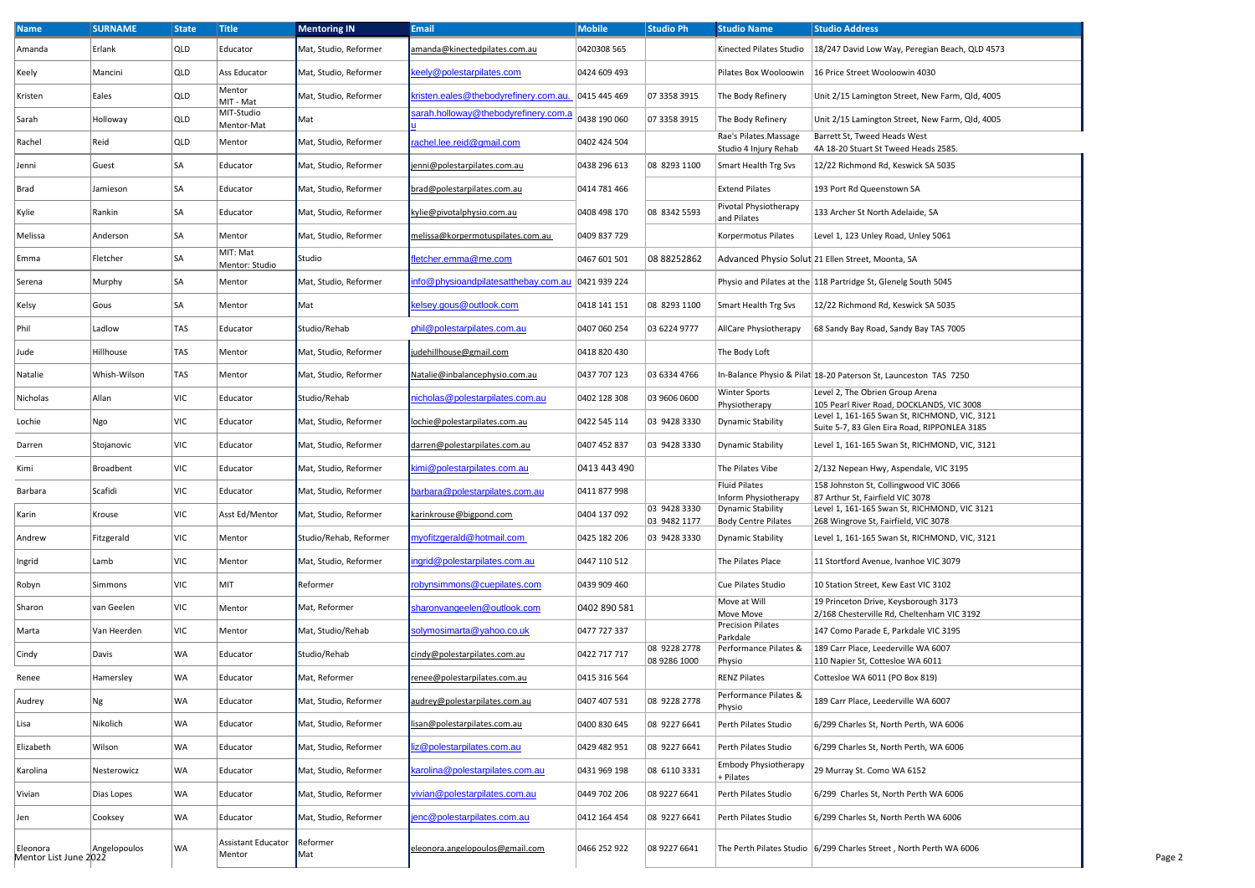| <b>Name</b>                                      | <b>SURNAME</b> | <b>State</b> | <b>Title</b>                 | <b>Mentoring IN</b>    | <b>Email</b>                           | <b>Mobile</b> | Studio Ph                    | <b>Studio Name</b>                                     | <b>Studio Address</b>                                                                         |  |
|--------------------------------------------------|----------------|--------------|------------------------------|------------------------|----------------------------------------|---------------|------------------------------|--------------------------------------------------------|-----------------------------------------------------------------------------------------------|--|
| Amanda                                           | Erlank         | QLD          | Educator                     | Mat, Studio, Reformer  | amanda@kinectedpilates.com.au          | 0420308 565   |                              | Kinected Pilates Studio                                | 18/247 David Low Way, Peregian Beach, QLD 4573                                                |  |
| Keely                                            | Mancini        | QLD          | Ass Educator                 | Mat, Studio, Reformer  | eely@polestarpilates.com               | 0424 609 493  |                              | Pilates Box Wooloowin                                  | 16 Price Street Wooloowin 4030                                                                |  |
| Kristen                                          | Eales          | QLD          | Mentor<br>MIT - Mat          | Mat, Studio, Reformer  | kristen.eales@thebodyrefinery.com.au.  | 0415 445 469  | 07 3358 3915                 | The Body Refinery                                      | Unit 2/15 Lamington Street, New Farm, Qld, 4005                                               |  |
| Sarah                                            | Holloway       | QLD          | MIT-Studio<br>Mentor-Mat     | Mat                    | arah.holloway@thebodyrefinery.com.a    | 0438 190 060  | 07 3358 3915                 | The Body Refinery                                      | Unit 2/15 Lamington Street, New Farm, Qld, 4005                                               |  |
| Rachel                                           | Reid           | QLD          | Mentor                       | Mat, Studio, Reformer  | achel.lee.reid@gmail.com               | 0402 424 504  |                              | Rae's Pilates.Massage<br>Studio 4 Injury Rehab         | Barrett St, Tweed Heads West<br>4A 18-20 Stuart St Tweed Heads 2585.                          |  |
| Jenni                                            | Guest          | SA           | Educator                     | Mat, Studio, Reformer  | enni@polestarpilates.com.au            | 0438 296 613  | 08 8293 1100                 | Smart Health Trg Svs                                   | 12/22 Richmond Rd, Keswick SA 5035                                                            |  |
| Brad                                             | Jamieson       | SA           | Educator                     | Mat, Studio, Reformer  | brad@polestarpilates.com.au            | 0414 781 466  |                              | <b>Extend Pilates</b>                                  | 193 Port Rd Queenstown SA                                                                     |  |
| Kylie                                            | Rankin         | SA           | Educator                     | Mat, Studio, Reformer  | kylie@pivotalphysio.com.au             | 0408 498 170  | 08 8342 5593                 | Pivotal Physiotherapy<br>and Pilates                   | 133 Archer St North Adelaide, SA                                                              |  |
| Melissa                                          | Anderson       | SA           | Mentor                       | Mat, Studio, Reformer  | melissa@korpermotuspilates.com.au      | 0409 837 729  |                              | Korpermotus Pilates                                    | Level 1, 123 Unley Road, Unley 5061                                                           |  |
| Emma                                             | Fletcher       | SA           | MIT: Mat                     | Studio                 | fletcher.emma@me.com                   | 0467 601 501  | 08 88252862                  |                                                        | Advanced Physio Solut 21 Ellen Street, Moonta, SA                                             |  |
| Serena                                           | Murphy         | SA           | Mentor: Studio<br>Mentor     | Mat, Studio, Reformer  | nfo@physioandpilatesatthebay.com.au    | 0421 939 224  |                              |                                                        | Physio and Pilates at the 118 Partridge St, Glenelg South 5045                                |  |
| Kelsy                                            | Gous           | SA           | Mentor                       | Mat                    | elsey.gous@outlook.com                 | 0418 141 151  | 08 8293 1100                 | Smart Health Trg Svs                                   | 12/22 Richmond Rd, Keswick SA 5035                                                            |  |
| Phil                                             | Ladlow         | TAS          | Educator                     | Studio/Rehab           | phil@polestarpilates.com.au            | 0407 060 254  | 03 6224 9777                 | AllCare Physiotherapy                                  | 68 Sandy Bay Road, Sandy Bay TAS 7005                                                         |  |
| Jude                                             | Hillhouse      | TAS          | Mentor                       | Mat, Studio, Reformer  | judehillhouse@gmail.com                | 0418 820 430  |                              | The Body Loft                                          |                                                                                               |  |
| Natalie                                          | Whish-Wilson   | TAS          | Mentor                       | Mat, Studio, Reformer  | Natalie@inbalancephysio.com.au         | 0437 707 123  | 03 6334 4766                 |                                                        | In-Balance Physio & Pilat 18-20 Paterson St, Launceston TAS 7250                              |  |
| Nicholas                                         | Allan          | VIC          | Educator                     | Studio/Rehab           | <u>nicholas@polestarpilates.com.au</u> | 0402 128 308  | 03 9606 0600                 | Winter Sports                                          | Level 2, The Obrien Group Arena                                                               |  |
| Lochie                                           | Ngo            | VIC          | Educator                     | Mat, Studio, Reformer  | lochie@polestarpilates.com.au          | 0422 545 114  | 03 9428 3330                 | Physiotherapy<br><b>Dynamic Stability</b>              | 105 Pearl River Road, DOCKLANDS, VIC 3008<br>Level 1, 161-165 Swan St, RICHMOND, VIC, 3121    |  |
| Darren                                           | Stojanovic     | VIC          | Educator                     | Mat, Studio, Reformer  | darren@polestarpilates.com.au          | 0407 452 837  | 03 9428 3330                 | Dynamic Stability                                      | Suite 5-7, 83 Glen Eira Road, RIPPONLEA 3185<br>Level 1, 161-165 Swan St, RICHMOND, VIC, 3121 |  |
| Kimi                                             | Broadbent      | VIC          | Educator                     | Mat, Studio, Reformer  | <u>imi@polestarpilates.com.au</u>      | 0413 443 490  |                              | The Pilates Vibe                                       | 2/132 Nepean Hwy, Aspendale, VIC 3195                                                         |  |
| Barbara                                          | Scafidi        | VIC          | Educator                     | Mat, Studio, Reformer  | parbara@polestarpilates.com.au         | 0411 877 998  |                              | Fluid Pilates                                          | 158 Johnston St, Collingwood VIC 3066                                                         |  |
| Karin                                            | Krouse         | VIC          | Asst Ed/Mentor               | Mat, Studio, Reformer  | <u>karinkrouse@bigpond.com</u>         | 0404 137 092  | 03 9428 3330                 | Inform Physiotherapy<br><b>Dynamic Stability</b>       | 87 Arthur St, Fairfield VIC 3078<br>Level 1, 161-165 Swan St, RICHMOND, VIC 3121              |  |
| Andrew                                           | Fitzgerald     | VIC          | Mentor                       | Studio/Rehab, Reformer | myofitzgerald@hotmail.com              | 0425 182 206  | 03 9482 1177<br>03 9428 3330 | <b>Body Centre Pilates</b><br><b>Dynamic Stability</b> | 268 Wingrove St, Fairfield, VIC 3078<br>Level 1, 161-165 Swan St, RICHMOND, VIC, 3121         |  |
|                                                  |                | VIC          |                              |                        | ngrid@polestarpilates.com.au           | 0447 110 512  |                              |                                                        |                                                                                               |  |
| Ingrid                                           | Lamb           |              | Mentor                       | Mat, Studio, Reformer  |                                        |               |                              | The Pilates Place                                      | 11 Stortford Avenue, Ivanhoe VIC 3079                                                         |  |
| Robyn                                            | Simmons        | VIC          | MIT                          | Reformer               | <u>robynsimmons@cuepilates.com</u>     | 0439 909 460  |                              | Cue Pilates Studio<br>Move at Will                     | 10 Station Street, Kew East VIC 3102<br>19 Princeton Drive, Keysborough 3173                  |  |
| Sharon                                           | van Geelen     | VIC          | Mentor                       | Mat, Reformer          | sharonvangeelen@outlook.com            | 0402 890 581  |                              | Move Move<br><b>Precision Pilates</b>                  | 2/168 Chesterville Rd, Cheltenham VIC 3192                                                    |  |
| Marta                                            | Van Heerden    | VIC          | Mentor                       | Mat, Studio/Rehab      | <u>solymosimarta@yahoo.co.uk</u>       | 0477 727 337  | 08 9228 2778                 | Parkdale<br>Performance Pilates &                      | 147 Como Parade E, Parkdale VIC 3195<br>189 Carr Place, Leederville WA 6007                   |  |
| Cindy                                            | Davis          | WA           | Educator                     | Studio/Rehab           | cindy@polestarpilates.com.au           | 0422 717 717  | 08 9286 1000                 | Physio                                                 | 110 Napier St, Cottesloe WA 6011                                                              |  |
| Renee                                            | Hamersley      | WA           | Educator                     | Mat, Reformer          | renee@polestarpilates.com.au           | 0415 316 564  |                              | <b>RENZ Pilates</b><br>Performance Pilates &           | Cottesloe WA 6011 (PO Box 819)                                                                |  |
| Audrey                                           | Ng             | WA           | Educator                     | Mat, Studio, Reformer  | audrey@polestarpilates.com.au          | 0407 407 531  | 08 9228 2778                 | Physio                                                 | 189 Carr Place, Leederville WA 6007                                                           |  |
| Lisa                                             | Nikolich       | WA           | Educator                     | Mat, Studio, Reformer  | isan@polestarpilates.com.au            | 0400 830 645  | 08 9227 6641                 | Perth Pilates Studio                                   | 6/299 Charles St, North Perth, WA 6006                                                        |  |
| Elizabeth                                        | Wilson         | WA           | Educator                     | Mat, Studio, Reformer  | liz@polestarpilates.com.au             | 0429 482 951  | 08 9227 6641                 | Perth Pilates Studio                                   | 6/299 Charles St, North Perth, WA 6006                                                        |  |
| Karolina                                         | Nesterowicz    | WA           | Educator                     | Mat, Studio, Reformer  | sarolina@polestarpilates.com.au        | 0431 969 198  | 08 6110 3331                 | <b>Embody Physiotherapy</b><br>+ Pilates               | 29 Murray St. Como WA 6152                                                                    |  |
| Vivian                                           | Dias Lopes     | WA           | Educator                     | Mat, Studio, Reformer  | ivian@polestarpilates.com.au           | 0449 702 206  | 08 9227 6641                 | Perth Pilates Studio                                   | 6/299 Charles St, North Perth WA 6006                                                         |  |
| Jen                                              | Cooksey        | WA           | Educator                     | Mat, Studio, Reformer  | enc@polestarpilates.com.au             | 0412 164 454  | 08 9227 6641                 | Perth Pilates Studio                                   | 6/299 Charles St, North Perth WA 6006                                                         |  |
| Eleonora   Angelopoulos<br>Mentor List June 2022 |                | WA           | Assistant Educator<br>Mentor | Reformer<br>Mat        | eleonora.angelopoulos@gmail.com        | 0466 252 922  | 08 9227 6641                 |                                                        | The Perth Pilates Studio   6/299 Charles Street, North Perth WA 6006                          |  |